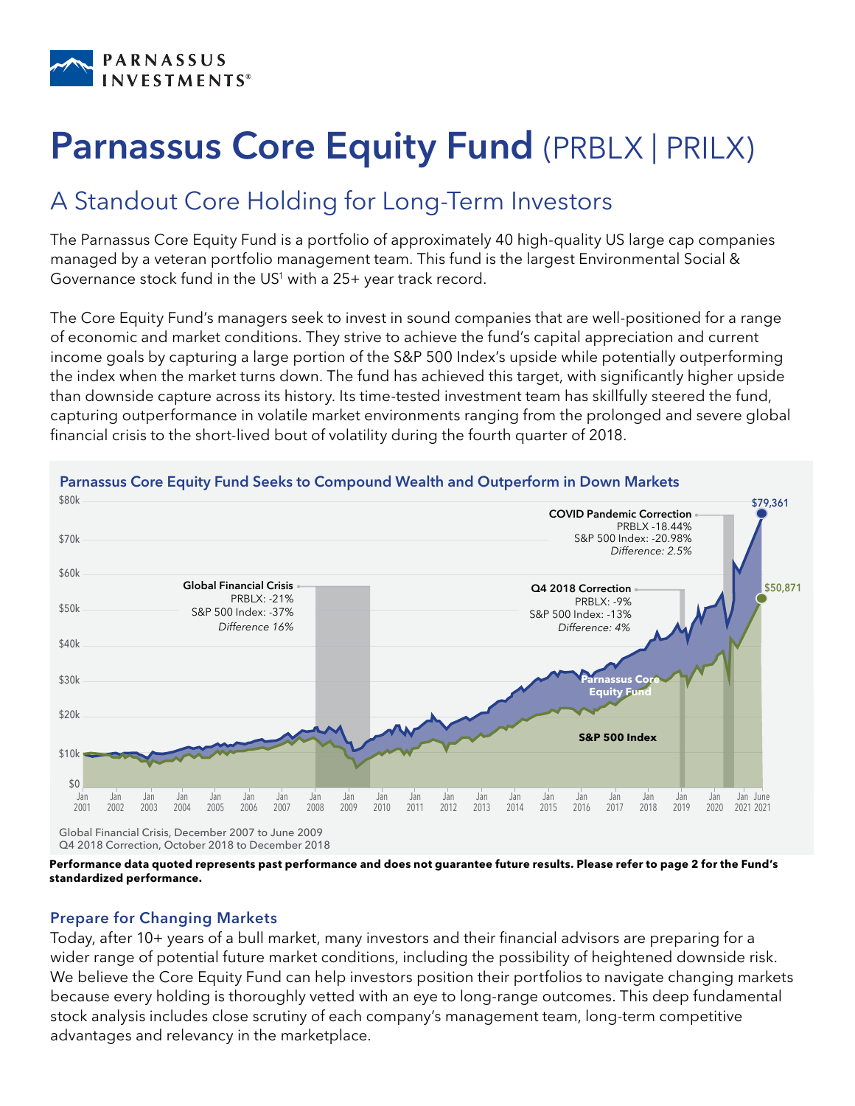

# Parnassus Core Equity Fund (PRBLX | PRILX)

# A Standout Core Holding for Long-Term Investors

The Parnassus Core Equity Fund is a portfolio of approximately 40 high-quality US large cap companies managed by a veteran portfolio management team. This fund is the largest Environmental Social & Governance stock fund in the US<sup>1</sup> with a 25+ year track record.

The Core Equity Fund's managers seek to invest in sound companies that are well-positioned for a range of economic and market conditions. They strive to achieve the fund's capital appreciation and current income goals by capturing a large portion of the S&P 500 Index's upside while potentially outperforming the index when the market turns down. The fund has achieved this target, with significantly higher upside than downside capture across its history. Its time-tested investment team has skillfully steered the fund, capturing outperformance in volatile market environments ranging from the prolonged and severe global financial crisis to the short-lived bout of volatility during the fourth quarter of 2018.



Q4 2018 Correction, October 2018 to December 2018

**Performance data quoted represents past performance and does not guarantee future results. Please refer to page 2 for the Fund's standardized performance.**

## Prepare for Changing Markets

Today, after 10+ years of a bull market, many investors and their financial advisors are preparing for a wider range of potential future market conditions, including the possibility of heightened downside risk. We believe the Core Equity Fund can help investors position their portfolios to navigate changing markets because every holding is thoroughly vetted with an eye to long-range outcomes. This deep fundamental stock analysis includes close scrutiny of each company's management team, long-term competitive advantages and relevancy in the marketplace.